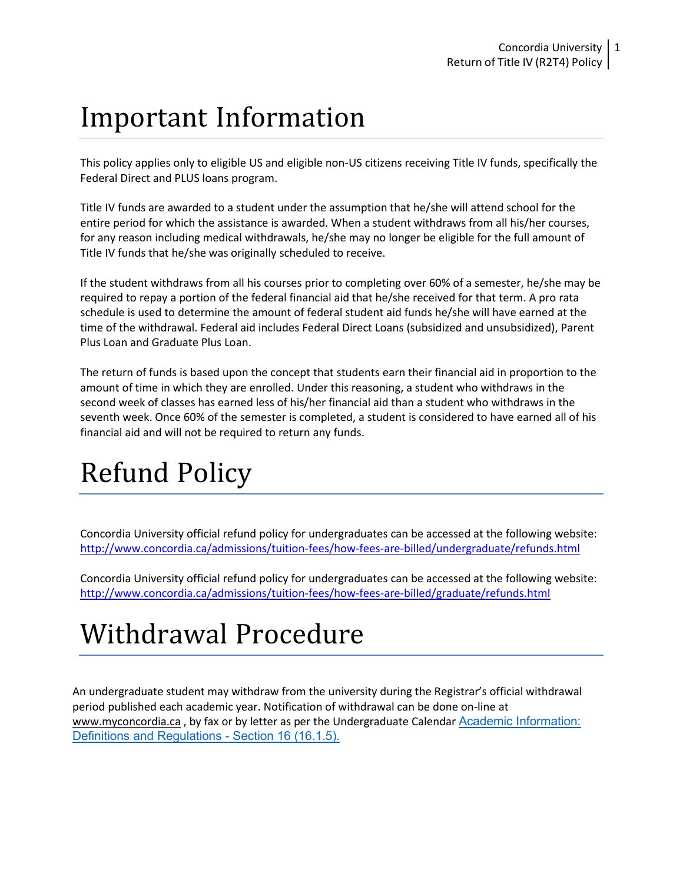## Important Information

This policy applies only to eligible US and eligible non-US citizens receiving Title IV funds, specifically the Federal Direct and PLUS loans program.

Title IV funds are awarded to a student under the assumption that he/she will attend school for the entire period for which the assistance is awarded. When a student withdraws from all his/her courses, for any reason including medical withdrawals, he/she may no longer be eligible for the full amount of Title IV funds that he/she was originally scheduled to receive.

If the student withdraws from all his courses prior to completing over 60% of a semester, he/she may be required to repay a portion of the federal financial aid that he/she received for that term. A pro rata schedule is used to determine the amount of federal student aid funds he/she will have earned at the time of the withdrawal. Federal aid includes Federal Direct Loans (subsidized and unsubsidized), Parent Plus Loan and Graduate Plus Loan.

The return of funds is based upon the concept that students earn their financial aid in proportion to the amount of time in which they are enrolled. Under this reasoning, a student who withdraws in the second week of classes has earned less of his/her financial aid than a student who withdraws in the seventh week. Once 60% of the semester is completed, a student is considered to have earned all of his financial aid and will not be required to return any funds.

# Refund Policy

Concordia University official refund policy for undergraduates can be accessed at the following website: <http://www.concordia.ca/admissions/tuition-fees/how-fees-are-billed/undergraduate/refunds.html>

Concordia University official refund policy for undergraduates can be accessed at the following website: <http://www.concordia.ca/admissions/tuition-fees/how-fees-are-billed/graduate/refunds.html>

## Withdrawal Procedure

An undergraduate student may withdraw from the university during the Registrar's official withdrawal period published each academic year. Notification of withdrawal can be done on-line at [www.myconcordia.ca](http://www.myconcordia.ca/), by fax or by letter as per the Undergraduate Calendar Academic Information: [Definitions and Regulations - Section 16](https://www.concordia.ca/academics/undergraduate/calendar/current/sec16/16.html) (16.1.5).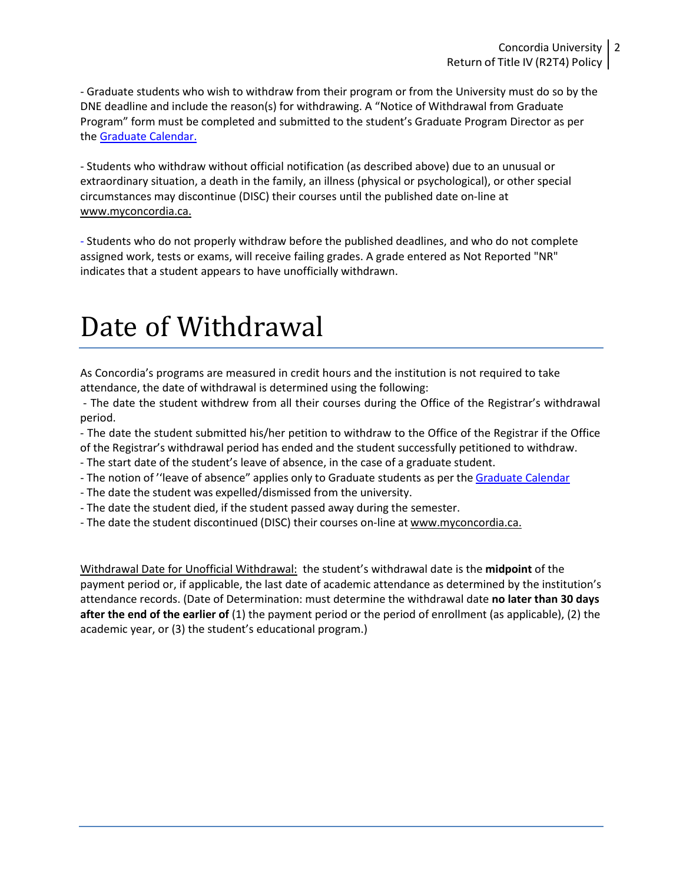- Graduate students who wish to withdraw from their program or from the University must do so by the DNE deadline and include the reason(s) for withdrawing. A "Notice of Withdrawal from Graduate Program" form must be completed and submitted to the student's Graduate Program Director as per the Graduate Calendar.

- Students who withdraw without official notification (as described above) due to an unusual or extraordinary situation, a death in the family, an illness (physical or psychological), or other special circumstances may discontinue (DISC) their courses until the published date on-line at [www.myconcordia.ca.](http://www.myconcordia.ca/)

- Students who do not properly withdraw before the published deadlines, and who do not complete assigned work, tests or exams, will receive failing grades. A grade entered as Not Reported "NR" indicates that a student appears to have unofficially withdrawn.

### Date of Withdrawal

As Concordia's programs are measured in credit hours and the institution is not required to take attendance, the date of withdrawal is determined using the following:

- The date the student withdrew from all their courses during the Office of the Registrar's withdrawal period.

- The date the student submitted his/her petition to withdraw to the Office of the Registrar if the Office of the Registrar's withdrawal period has ended and the student successfully petitioned to withdraw.

- The start date of the student's leave of absence, in the case of a graduate student.

- The notion of "leave of absence" applies only to Graduate students as per the Graduate Calendar
- The date the student was expelled/dismissed from the university.
- The date the student died, if the student passed away during the semester.
- The date the student discontinued (DISC) their courses on-line at [www.myconcordia.ca.](http://www.myconcordia.ca/)

Withdrawal Date for Unofficial Withdrawal: the student's withdrawal date is the **midpoint** of the payment period or, if applicable, the last date of academic attendance as determined by the institution's attendance records. (Date of Determination: must determine the withdrawal date **no later than 30 days after the end of the earlier of** (1) the payment period or the period of enrollment (as applicable), (2) the academic year, or (3) the student's educational program.)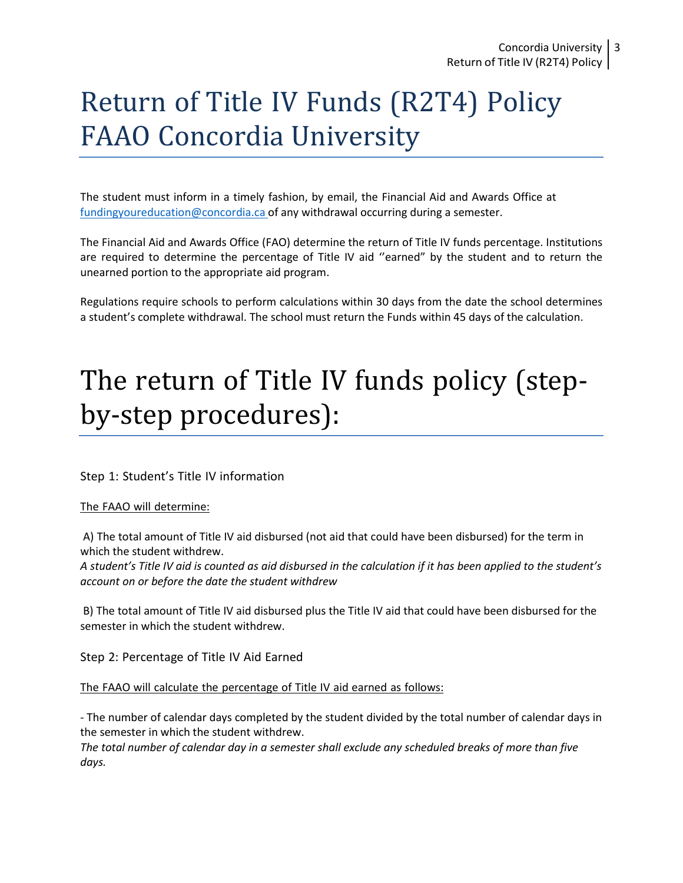## Return of Title IV Funds (R2T4) Policy FAAO Concordia University

The student must inform in a timely fashion, by email, the Financial Aid and Awards Office a[t](mailto:%20fundingyoureducation@concordia.ca) [fundingyoureducation@concordia.ca](mailto:%20fundingyoureducation@concordia.ca) of any withdrawal occurring during a semester.

The Financial Aid and Awards Office (FAO) determine the return of Title IV funds percentage. Institutions are required to determine the percentage of Title IV aid ''earned" by the student and to return the unearned portion to the appropriate aid program.

Regulations require schools to perform calculations within 30 days from the date the school determines a student's complete withdrawal. The school must return the Funds within 45 days of the calculation.

### The return of Title IV funds policy (stepby-step procedures):

Step 1: Student's Title IV information

The FAAO will determine:

A) The total amount of Title IV aid disbursed (not aid that could have been disbursed) for the term in which the student withdrew.

*A student's Title IV aid is counted as aid disbursed in the calculation if it has been applied to the student's account on or before the date the student withdrew*

B) The total amount of Title IV aid disbursed plus the Title IV aid that could have been disbursed for the semester in which the student withdrew.

Step 2: Percentage of Title IV Aid Earned

The FAAO will calculate the percentage of Title IV aid earned as follows:

- The number of calendar days completed by the student divided by the total number of calendar days in the semester in which the student withdrew.

*The total number of calendar day in a semester shall exclude any scheduled breaks of more than five days.*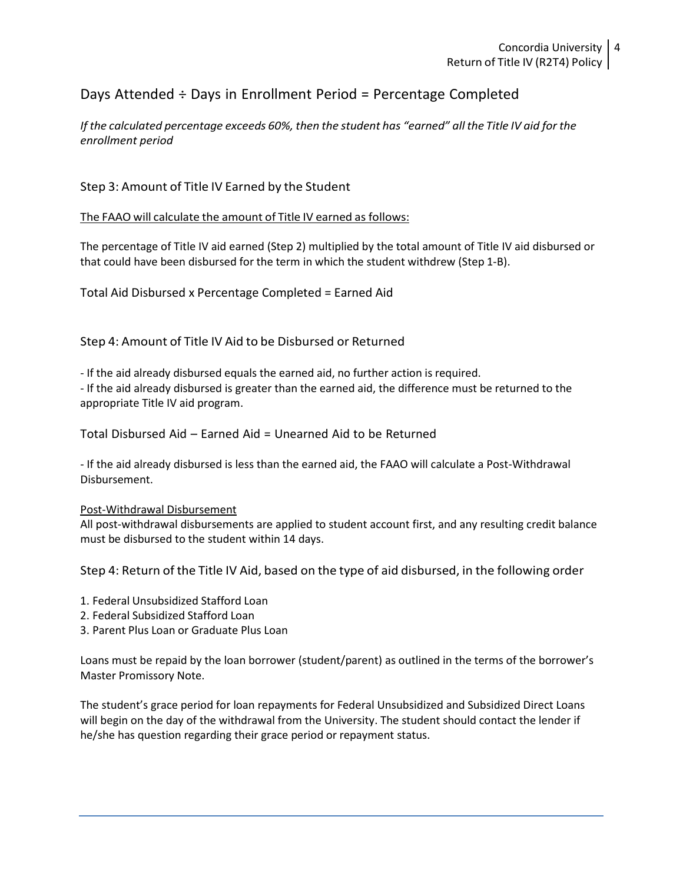### Days Attended ÷ Days in Enrollment Period = Percentage Completed

If the calculated percentage exceeds 60%, then the student has "earned" all the Title IV aid for the *enrollment period*

### Step 3: Amount of Title IV Earned by the Student

The FAAO will calculate the amount of Title IV earned as follows:

The percentage of Title IV aid earned (Step 2) multiplied by the total amount of Title IV aid disbursed or that could have been disbursed for the term in which the student withdrew (Step 1-B).

Total Aid Disbursed x Percentage Completed = Earned Aid

Step 4: Amount of Title IV Aid to be Disbursed or Returned

- If the aid already disbursed equals the earned aid, no further action is required.

- If the aid already disbursed is greater than the earned aid, the difference must be returned to the appropriate Title IV aid program.

Total Disbursed Aid – Earned Aid = Unearned Aid to be Returned

- If the aid already disbursed is less than the earned aid, the FAAO will calculate a Post-Withdrawal Disbursement.

#### Post-Withdrawal Disbursement

All post-withdrawal disbursements are applied to student account first, and any resulting credit balance must be disbursed to the student within 14 days.

Step 4: Return of the Title IV Aid, based on the type of aid disbursed, in the following order

- 1. Federal Unsubsidized Stafford Loan
- 2. Federal Subsidized Stafford Loan
- 3. Parent Plus Loan or Graduate Plus Loan

Loans must be repaid by the loan borrower (student/parent) as outlined in the terms of the borrower's Master Promissory Note.

The student's grace period for loan repayments for Federal Unsubsidized and Subsidized Direct Loans will begin on the day of the withdrawal from the University. The student should contact the lender if he/she has question regarding their grace period or repayment status.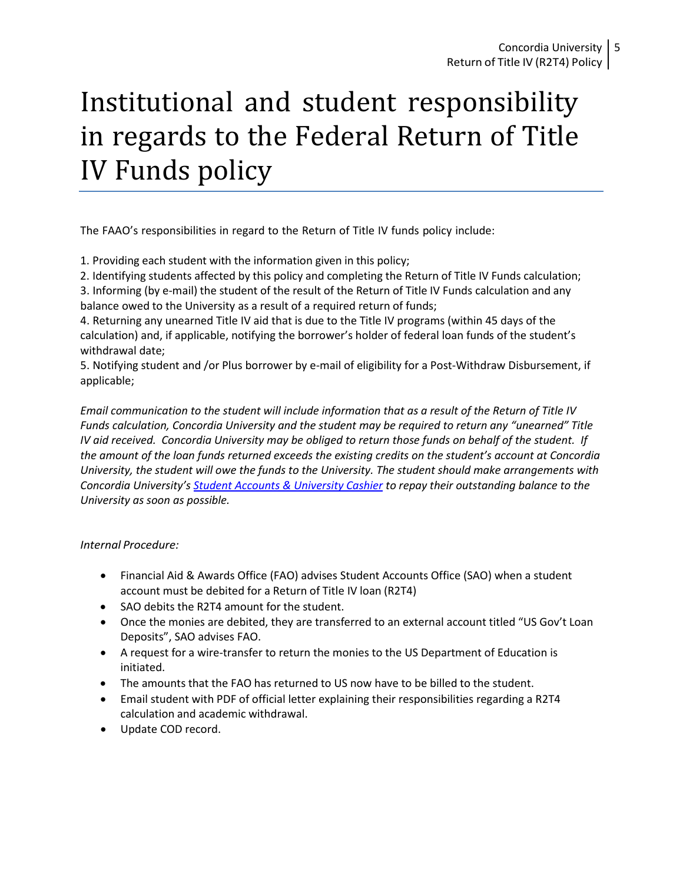# Institutional and student responsibility in regards to the Federal Return of Title IV Funds policy

The FAAO's responsibilities in regard to the Return of Title IV funds policy include:

1. Providing each student with the information given in this policy;

2. Identifying students affected by this policy and completing the Return of Title IV Funds calculation;

3. Informing (by e-mail) the student of the result of the Return of Title IV Funds calculation and any balance owed to the University as a result of a required return of funds;

4. Returning any unearned Title IV aid that is due to the Title IV programs (within 45 days of the calculation) and, if applicable, notifying the borrower's holder of federal loan funds of the student's withdrawal date;

5. Notifying student and /or Plus borrower by e-mail of eligibility for a Post-Withdraw Disbursement, if applicable;

*Email communication to the student will include information that as a result of the Return of Title IV Funds calculation, Concordia University and the student may be required to return any "unearned" Title IV aid received. Concordia University may be obliged to return those funds on behalf of the student. If the amount of the loan funds returned exceeds the existing credits on the student's account at Concordia University, the student will owe the funds to the University. The student should make arrangements with Concordia University's Student Accounts & University Cashier to repay their outstanding balance to the University as soon as possible.*

### *Internal Procedure:*

- Financial Aid & Awards Office (FAO) advises Student Accounts Office (SAO) when a student account must be debited for a Return of Title IV loan (R2T4)
- SAO debits the R2T4 amount for the student.
- Once the monies are debited, they are transferred to an external account titled "US Gov't Loan Deposits", SAO advises FAO.
- A request for a wire-transfer to return the monies to the US Department of Education is initiated.
- The amounts that the FAO has returned to US now have to be billed to the student.
- Email student with PDF of official letter explaining their responsibilities regarding a R2T4 calculation and academic withdrawal.
- Update COD record.